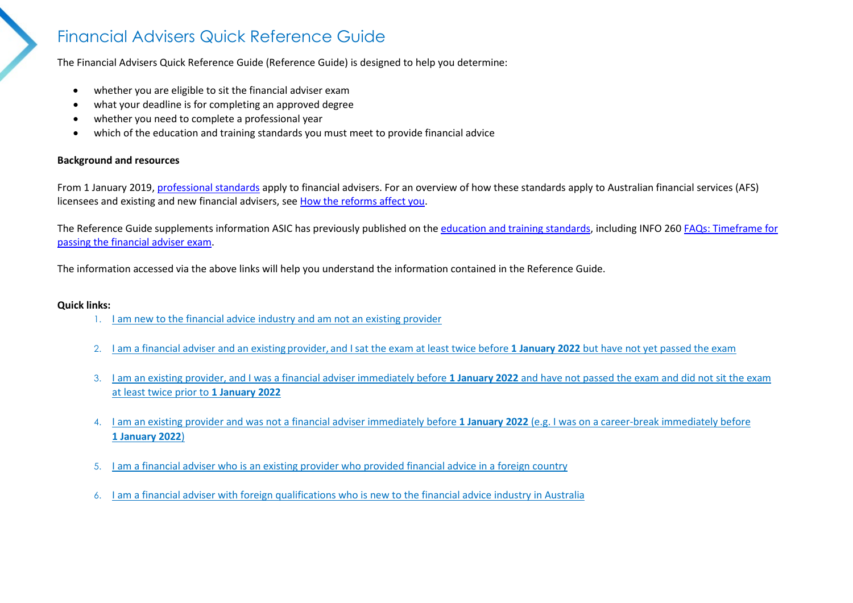## Financial Advisers Quick Reference Guide

The Financial Advisers Quick Reference Guide (Reference Guide) is designed to help you determine:

- whether you are eligible to sit the financial adviser exam
- what your deadline is for completing an approved degree
- whether you need to complete a professional year
- which of the education and training standards you must meet to provide financial advice

## **Background and resources**

From 1 January 2019, [professional standards](https://asic.gov.au/for-finance-professionals/afs-licensees/professional-standards-for-financial-advisers/) apply to financial advisers. For an overview of how these standards apply to Australian financial services (AFS) licensees and existing and new financial advisers, see [How the reforms affect you.](https://asic.gov.au/for-finance-professionals/afs-licensees/professional-standards-for-financial-advisers/how-the-reforms-affect-you/)

The Reference Guide supplements information ASIC has previously published on the [education and training standards,](https://asic.gov.au/for-finance-professionals/afs-licensees/professional-standards-for-financial-advisers/qualification-exam-and-professional-development/#py) including INFO 260 [FAQs: Timeframe for](https://asic.gov.au/for-finance-professionals/afs-licensees/professional-standards-for-financial-advisers/qualification-exam-and-professional-development/faqs-timeframe-for-passing-the-financial-adviser-exam/#who-is-an-existing-provider)  [passing the financial adviser exam.](https://asic.gov.au/for-finance-professionals/afs-licensees/professional-standards-for-financial-advisers/qualification-exam-and-professional-development/faqs-timeframe-for-passing-the-financial-adviser-exam/#who-is-an-existing-provider)

The information accessed via the above links will help you understand the information contained in the Reference Guide.

## **Quick links:**

- 1. [I am new to the financial advice industry and am not an existing provider](#page-1-0)
- 2. I am a financial adviser and an existing provider, [and I sat the exam at least twice before](#page-1-1) **1 January 2022** but have not yet passed the exam
- 3. [I am an existing provider, and I was a financial adviser immediately before](#page-2-0) **1 January 2022** and have not passed the exam and did not sit the exam [at least twice prior to](#page-2-0) **1 January 2022**
- 4. [I am an existing provider and was not a financial adviser immediately before](#page-3-0) **1 January 2022** (e.g. I was on a career-break immediately before **[1 January 2022](#page-3-0)**)
- 5. [I am a financial adviser who is an existing provider who provided financial advice in a foreign country](#page-3-1)
- 6. [I am a financial adviser with foreign qualifications who is new to the financial advice industry in Australia](#page-4-0)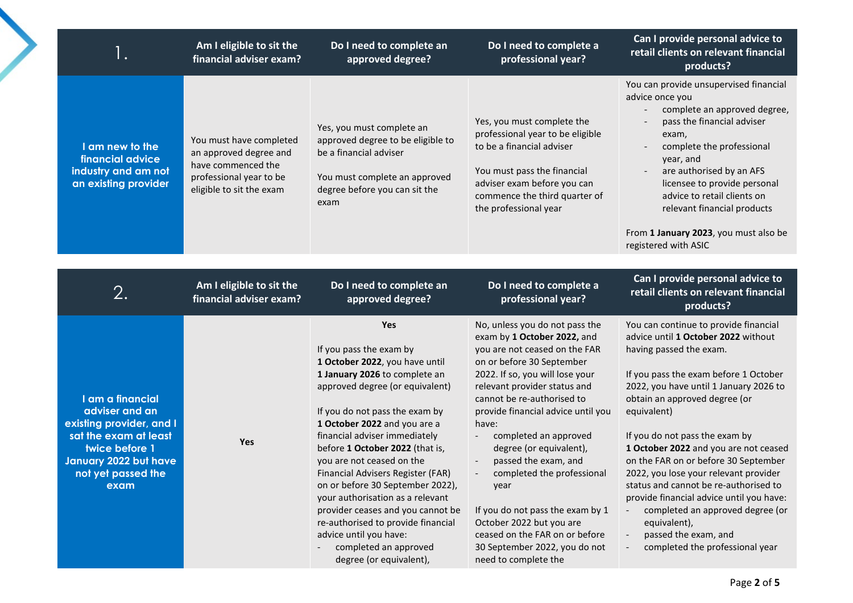<span id="page-1-1"></span><span id="page-1-0"></span>

| Ι.                                                                                                                                                               | Am I eligible to sit the<br>financial adviser exam?                                                                            | Do I need to complete an<br>approved degree?                                                                                                                                                                                                                                                                                                                                                                                                                                                                              | Do I need to complete a<br>professional year?                                                                                                                                                                                                                                                                                                                                                                                                                                                   | Can I provide personal advice to<br>retail clients on relevant financial<br>products?                                                                                                                                                                                                                                                                                                                                                                                                                                                                                   |
|------------------------------------------------------------------------------------------------------------------------------------------------------------------|--------------------------------------------------------------------------------------------------------------------------------|---------------------------------------------------------------------------------------------------------------------------------------------------------------------------------------------------------------------------------------------------------------------------------------------------------------------------------------------------------------------------------------------------------------------------------------------------------------------------------------------------------------------------|-------------------------------------------------------------------------------------------------------------------------------------------------------------------------------------------------------------------------------------------------------------------------------------------------------------------------------------------------------------------------------------------------------------------------------------------------------------------------------------------------|-------------------------------------------------------------------------------------------------------------------------------------------------------------------------------------------------------------------------------------------------------------------------------------------------------------------------------------------------------------------------------------------------------------------------------------------------------------------------------------------------------------------------------------------------------------------------|
| I am new to the<br>financial advice<br>industry and am not<br>an existing provider                                                                               | You must have completed<br>an approved degree and<br>have commenced the<br>professional year to be<br>eligible to sit the exam | Yes, you must complete an<br>approved degree to be eligible to<br>be a financial adviser<br>You must complete an approved<br>degree before you can sit the<br>exam                                                                                                                                                                                                                                                                                                                                                        | Yes, you must complete the<br>professional year to be eligible<br>to be a financial adviser<br>You must pass the financial<br>adviser exam before you can<br>commence the third quarter of<br>the professional year                                                                                                                                                                                                                                                                             | You can provide unsupervised financial<br>advice once you<br>complete an approved degree,<br>pass the financial adviser<br>exam,<br>complete the professional<br>year, and<br>are authorised by an AFS<br>licensee to provide personal<br>advice to retail clients on<br>relevant financial products<br>From 1 January 2023, you must also be                                                                                                                                                                                                                           |
|                                                                                                                                                                  |                                                                                                                                |                                                                                                                                                                                                                                                                                                                                                                                                                                                                                                                           |                                                                                                                                                                                                                                                                                                                                                                                                                                                                                                 | registered with ASIC                                                                                                                                                                                                                                                                                                                                                                                                                                                                                                                                                    |
| 2.                                                                                                                                                               | Am I eligible to sit the<br>financial adviser exam?                                                                            | Do I need to complete an<br>approved degree?                                                                                                                                                                                                                                                                                                                                                                                                                                                                              | Do I need to complete a<br>professional year?                                                                                                                                                                                                                                                                                                                                                                                                                                                   | Can I provide personal advice to<br>retail clients on relevant financial<br>products?                                                                                                                                                                                                                                                                                                                                                                                                                                                                                   |
| I am a financial<br>adviser and an<br>existing provider, and I<br>sat the exam at least<br>twice before 1<br>January 2022 but have<br>not yet passed the<br>exam | Yes                                                                                                                            | Yes<br>If you pass the exam by<br>1 October 2022, you have until<br>1 January 2026 to complete an<br>approved degree (or equivalent)<br>If you do not pass the exam by<br>1 October 2022 and you are a<br>financial adviser immediately<br>before 1 October 2022 (that is,<br>you are not ceased on the<br>Financial Advisers Register (FAR)<br>on or before 30 September 2022),<br>your authorisation as a relevant<br>provider ceases and you cannot be<br>re-authorised to provide financial<br>advice until you have: | No, unless you do not pass the<br>exam by 1 October 2022, and<br>you are not ceased on the FAR<br>on or before 30 September<br>2022. If so, you will lose your<br>relevant provider status and<br>cannot be re-authorised to<br>provide financial advice until you<br>have:<br>completed an approved<br>degree (or equivalent),<br>passed the exam, and<br>completed the professional<br>year<br>If you do not pass the exam by 1<br>October 2022 but you are<br>ceased on the FAR on or before | You can continue to provide financial<br>advice until 1 October 2022 without<br>having passed the exam.<br>If you pass the exam before 1 October<br>2022, you have until 1 January 2026 to<br>obtain an approved degree (or<br>equivalent)<br>If you do not pass the exam by<br>1 October 2022 and you are not ceased<br>on the FAR on or before 30 September<br>2022, you lose your relevant provider<br>status and cannot be re-authorised to<br>provide financial advice until you have:<br>completed an approved degree (or<br>equivalent),<br>passed the exam, and |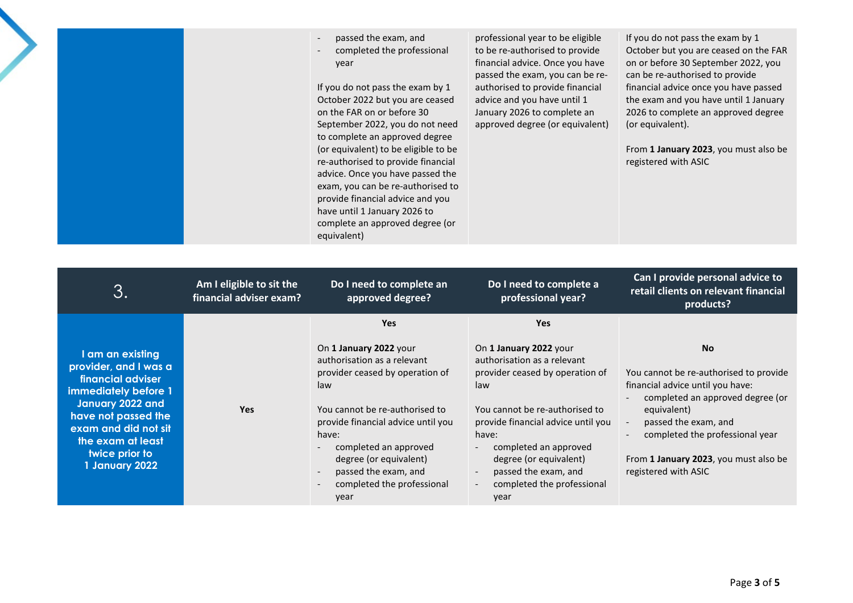| passed the exam, and<br>$\overline{\phantom{a}}$<br>completed the professional<br>$\overline{\phantom{a}}$<br>year<br>If you do not pass the exam by 1<br>October 2022 but you are ceased<br>on the FAR on or before 30<br>September 2022, you do not need<br>to complete an approved degree<br>(or equivalent) to be eligible to be<br>re-authorised to provide financial<br>advice. Once you have passed the<br>exam, you can be re-authorised to<br>provide financial advice and you<br>have until 1 January 2026 to<br>complete an approved degree (or<br>equivalent) | professional year to be eligible<br>to be re-authorised to provide<br>financial advice. Once you have<br>passed the exam, you can be re-<br>authorised to provide financial<br>advice and you have until 1<br>January 2026 to complete an<br>approved degree (or equivalent) | If you do not pass the exam by 1<br>October but you are ceased on the FAR<br>on or before 30 September 2022, you<br>can be re-authorised to provide<br>financial advice once you have passed<br>the exam and you have until 1 January<br>2026 to complete an approved degree<br>(or equivalent).<br>From 1 January 2023, you must also be<br>registered with ASIC |
|---------------------------------------------------------------------------------------------------------------------------------------------------------------------------------------------------------------------------------------------------------------------------------------------------------------------------------------------------------------------------------------------------------------------------------------------------------------------------------------------------------------------------------------------------------------------------|------------------------------------------------------------------------------------------------------------------------------------------------------------------------------------------------------------------------------------------------------------------------------|-------------------------------------------------------------------------------------------------------------------------------------------------------------------------------------------------------------------------------------------------------------------------------------------------------------------------------------------------------------------|
|---------------------------------------------------------------------------------------------------------------------------------------------------------------------------------------------------------------------------------------------------------------------------------------------------------------------------------------------------------------------------------------------------------------------------------------------------------------------------------------------------------------------------------------------------------------------------|------------------------------------------------------------------------------------------------------------------------------------------------------------------------------------------------------------------------------------------------------------------------------|-------------------------------------------------------------------------------------------------------------------------------------------------------------------------------------------------------------------------------------------------------------------------------------------------------------------------------------------------------------------|

<span id="page-2-0"></span>

| 3.                                                                                                                                                                                                                 | Am I eligible to sit the<br>financial adviser exam? | Do I need to complete an<br>approved degree?                                                                                                                                                                                                                                                      | Do I need to complete a<br>professional year?                                                                                                                                                                                                                                                                                 | Can I provide personal advice to<br>retail clients on relevant financial<br>products?                                                                                                                                                                                                              |
|--------------------------------------------------------------------------------------------------------------------------------------------------------------------------------------------------------------------|-----------------------------------------------------|---------------------------------------------------------------------------------------------------------------------------------------------------------------------------------------------------------------------------------------------------------------------------------------------------|-------------------------------------------------------------------------------------------------------------------------------------------------------------------------------------------------------------------------------------------------------------------------------------------------------------------------------|----------------------------------------------------------------------------------------------------------------------------------------------------------------------------------------------------------------------------------------------------------------------------------------------------|
|                                                                                                                                                                                                                    |                                                     | <b>Yes</b>                                                                                                                                                                                                                                                                                        | <b>Yes</b>                                                                                                                                                                                                                                                                                                                    |                                                                                                                                                                                                                                                                                                    |
| I am an existing<br>provider, and I was a<br>financial adviser<br>immediately before 1<br>January 2022 and<br>have not passed the<br>exam and did not sit<br>the exam at least<br>twice prior to<br>1 January 2022 | <b>Yes</b>                                          | On 1 January 2022 your<br>authorisation as a relevant<br>provider ceased by operation of<br>law<br>You cannot be re-authorised to<br>provide financial advice until you<br>have:<br>completed an approved<br>degree (or equivalent)<br>passed the exam, and<br>completed the professional<br>year | On 1 January 2022 your<br>authorisation as a relevant<br>provider ceased by operation of<br>law<br>You cannot be re-authorised to<br>provide financial advice until you<br>have:<br>completed an approved<br>degree (or equivalent)<br>passed the exam, and<br>completed the professional<br>$\overline{\phantom{a}}$<br>year | <b>No</b><br>You cannot be re-authorised to provide<br>financial advice until you have:<br>completed an approved degree (or<br>equivalent)<br>passed the exam, and<br>completed the professional year<br>$\overline{\phantom{a}}$<br>From 1 January 2023, you must also be<br>registered with ASIC |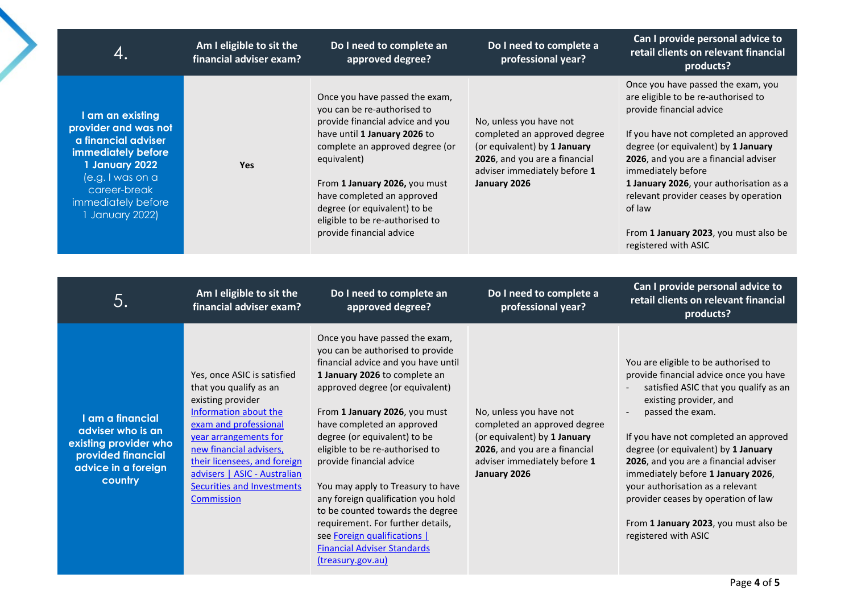<span id="page-3-1"></span><span id="page-3-0"></span>

| 4.                                                                                                                                                                                   | Am I eligible to sit the<br>financial adviser exam?                                                                                                                                                                                                                                                 | Do I need to complete an<br>approved degree?                                                                                                                                                                                                                                                                                                                                                                                                                                                                                                                                               | Do I need to complete a<br>professional year?                                                                                                                            | Can I provide personal advice to<br>retail clients on relevant financial<br>products?                                                                                                                                                                                                                                                                                                                                                                                            |
|--------------------------------------------------------------------------------------------------------------------------------------------------------------------------------------|-----------------------------------------------------------------------------------------------------------------------------------------------------------------------------------------------------------------------------------------------------------------------------------------------------|--------------------------------------------------------------------------------------------------------------------------------------------------------------------------------------------------------------------------------------------------------------------------------------------------------------------------------------------------------------------------------------------------------------------------------------------------------------------------------------------------------------------------------------------------------------------------------------------|--------------------------------------------------------------------------------------------------------------------------------------------------------------------------|----------------------------------------------------------------------------------------------------------------------------------------------------------------------------------------------------------------------------------------------------------------------------------------------------------------------------------------------------------------------------------------------------------------------------------------------------------------------------------|
| I am an existing<br>provider and was not<br>a financial adviser<br>immediately before<br>1 January 2022<br>(e.g. I was on a<br>career-break<br>immediately before<br>1 January 2022) | Yes                                                                                                                                                                                                                                                                                                 | Once you have passed the exam,<br>you can be re-authorised to<br>provide financial advice and you<br>have until 1 January 2026 to<br>complete an approved degree (or<br>equivalent)<br>From 1 January 2026, you must<br>have completed an approved<br>degree (or equivalent) to be<br>eligible to be re-authorised to<br>provide financial advice                                                                                                                                                                                                                                          | No, unless you have not<br>completed an approved degree<br>(or equivalent) by 1 January<br>2026, and you are a financial<br>adviser immediately before 1<br>January 2026 | Once you have passed the exam, you<br>are eligible to be re-authorised to<br>provide financial advice<br>If you have not completed an approved<br>degree (or equivalent) by 1 January<br>2026, and you are a financial adviser<br>immediately before<br>1 January 2026, your authorisation as a<br>relevant provider ceases by operation<br>of law<br>From 1 January 2023, you must also be<br>registered with ASIC                                                              |
|                                                                                                                                                                                      |                                                                                                                                                                                                                                                                                                     |                                                                                                                                                                                                                                                                                                                                                                                                                                                                                                                                                                                            |                                                                                                                                                                          |                                                                                                                                                                                                                                                                                                                                                                                                                                                                                  |
| 5.                                                                                                                                                                                   | Am I eligible to sit the<br>financial adviser exam?                                                                                                                                                                                                                                                 | Do I need to complete an<br>approved degree?                                                                                                                                                                                                                                                                                                                                                                                                                                                                                                                                               | Do I need to complete a<br>professional year?                                                                                                                            | Can I provide personal advice to<br>retail clients on relevant financial<br>products?                                                                                                                                                                                                                                                                                                                                                                                            |
| I am a financial<br>adviser who is an<br>existing provider who<br>provided financial<br>advice in a foreign<br>country                                                               | Yes, once ASIC is satisfied<br>that you qualify as an<br>existing provider<br>Information about the<br>exam and professional<br>year arrangements for<br>new financial advisers,<br>their licensees, and foreign<br>advisers   ASIC - Australian<br>Securities and Investments<br><b>Commission</b> | Once you have passed the exam,<br>you can be authorised to provide<br>financial advice and you have until<br>1 January 2026 to complete an<br>approved degree (or equivalent)<br>From 1 January 2026, you must<br>have completed an approved<br>degree (or equivalent) to be<br>eligible to be re-authorised to<br>provide financial advice<br>You may apply to Treasury to have<br>any foreign qualification you hold<br>to be counted towards the degree<br>requirement. For further details,<br>see Foreign qualifications  <br><b>Financial Adviser Standards</b><br>(treasury.gov.au) | No, unless you have not<br>completed an approved degree<br>(or equivalent) by 1 January<br>2026, and you are a financial<br>adviser immediately before 1<br>January 2026 | You are eligible to be authorised to<br>provide financial advice once you have<br>satisfied ASIC that you qualify as an<br>existing provider, and<br>passed the exam.<br>If you have not completed an approved<br>degree (or equivalent) by 1 January<br>2026, and you are a financial adviser<br>immediately before 1 January 2026,<br>your authorisation as a relevant<br>provider ceases by operation of law<br>From 1 January 2023, you must also be<br>registered with ASIC |